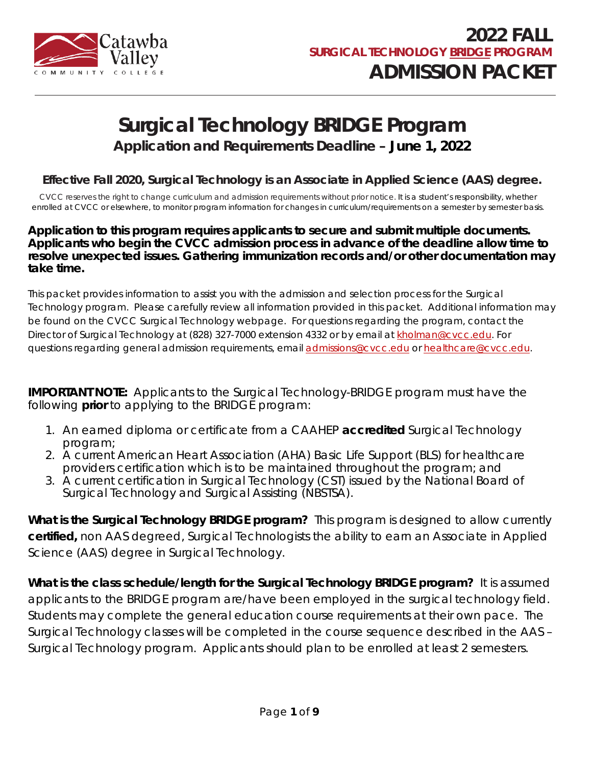

# **Surgical Technology BRIDGE Program**

**Application and Requirements Deadline – June 1, 2022**

#### **Effective Fall 2020, Surgical Technology is an Associate in Applied Science (AAS) degree.**

CVCC reserves the right to change curriculum and admission requirements without prior notice. It is a student's responsibility, whether enrolled at CVCC or elsewhere, to monitor program information for changes in curriculum/requirements on a semester by semester basis.

#### **Application to this program requires applicants to secure and submit multiple documents. Applicants who begin the CVCC admission process in advance of the deadline allow time to resolve unexpected issues. Gathering immunization records and/or other documentation may take time.**

This packet provides information to assist you with the admission and selection process for the Surgical Technology program. Please carefully review all information provided in this packet. Additional information may be found on the CVCC Surgical Technology webpage. For questions regarding the program, contact the Director of Surgical Technology at (828) 327-7000 extension 4332 or by email at [kholman@cvcc.edu.](mailto:kholman@cvcc.edu) For questions regarding general admission requirements, email [admissions@cvcc.edu](mailto:admissions@cvcc.edu) or [healthcare@cvcc.edu.](mailto:healthcare@cvcc.edu)

**IMPORTANT NOTE:** Applicants to the Surgical Technology-BRIDGE program must have the following **prior** to applying to the BRIDGE program:

- 1. An earned diploma or certificate from a CAAHEP *accredited* Surgical Technology program;
- 2. A current American Heart Association (AHA) Basic Life Support (BLS) for healthcare providers certification which is to be maintained throughout the program; and
- 3. A current certification in Surgical Technology (CST) issued by the National Board of Surgical Technology and Surgical Assisting (NBSTSA).

**What is the Surgical Technology BRIDGE program?** This program is designed to allow currently **certified,** non AAS degreed, Surgical Technologists the ability to earn an Associate in Applied Science (AAS) degree in Surgical Technology.

**What is the class schedule/length for the Surgical Technology BRIDGE program?** It is assumed applicants to the BRIDGE program are/have been employed in the surgical technology field. Students may complete the general education course requirements at their own pace. The Surgical Technology classes will be completed in the course sequence described in the AAS – Surgical Technology program. Applicants should plan to be enrolled at least 2 semesters.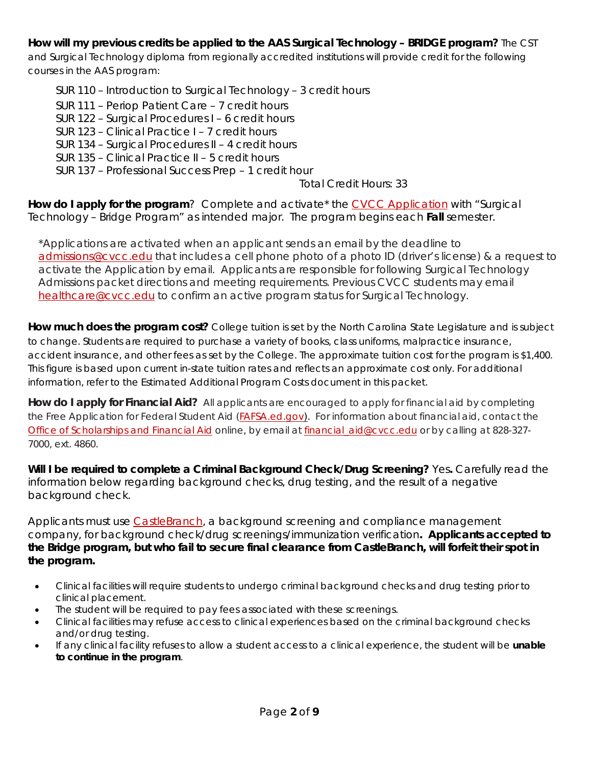#### **How will my previous credits be applied to the AAS Surgical Technology – BRIDGE program?** The CST

and Surgical Technology diploma from regionally accredited institutions will provide credit for the following courses in the AAS program:

SUR 110 – Introduction to Surgical Technology – 3 credit hours

- SUR 111 Periop Patient Care 7 credit hours
- SUR 122 Surgical Procedures I 6 credit hours
- SUR 123 Clinical Practice I 7 credit hours
- SUR 134 Surgical Procedures II 4 credit hours
- SUR 135 Clinical Practice II 5 credit hours
- SUR 137 Professional Success Prep 1 credit hour

Total Credit Hours: 33

**How do I apply for the program**? Complete and activate\* the [CVCC Application](http://www.cvcc.edu/Academic-Resources/Admissions/Apply-Now.cfm) with "Surgical Technology – Bridge Program" as intended major. The program begins each **Fall** semester.

\*Applications are activated when an applicant sends an email by the deadline to [admissions@cvcc.edu](mailto:admissions@cvcc.edu) that includes a cell phone photo of a photo ID (driver's license) & a request to activate the Application by email. Applicants are responsible for following Surgical Technology Admissions packet directions and meeting requirements. Previous CVCC students may email [healthcare@cvcc.edu](mailto:healthcare@cvcc.edu) to confirm an active program status for Surgical Technology.

**How much does the program cost?** College tuition is set by the North Carolina State Legislature and is subject to change. Students are required to purchase a variety of books, class uniforms, malpractice insurance, accident insurance, and other fees as set by the College. The approximate tuition cost for the program is \$1,400. This figure is based upon current in-state tuition rates and reflects an approximate cost only. For additional information, refer to the *Estimated Additional Program Costs* document in this packet.

**How do I apply for Financial Aid?** All applicants are encouraged to apply for financial aid by completing the Free Application for Federal Student Aid [\(FAFSA.ed.gov\).](http://www.fafsa.ed.gov/) For information about financial aid, contact the Office [of Scholarships and Financial Aid](http://www.cvcc.edu/Services/Financial_Aid/index.cfm) online, by email at [financial\\_aid@cvcc.edu](mailto:financial_aid@cvcc.edu) or by calling at 828-327- 7000, ext. 4860.

**Will I be required to complete a Criminal Background Check/Drug Screening?** Yes**.** Carefully read the information below regarding background checks, drug testing, and the result of a negative background check.

Applicants must use [CastleBranch,](https://mycb.castlebranch.com/) a background screening and compliance management company, for background check/drug screenings/immunization verification**. Applicants accepted to the Bridge program, but who fail to secure final clearance from CastleBranch, will forfeit their spot in the program.** 

- Clinical facilities will require students to undergo criminal background checks and drug testing prior to clinical placement.
- The student will be required to pay fees associated with these screenings.
- Clinical facilities may refuse access to clinical experiences based on the criminal background checks and/or drug testing.
- If any clinical facility refuses to allow a student access to a clinical experience, the student will be **unable to continue in the program**.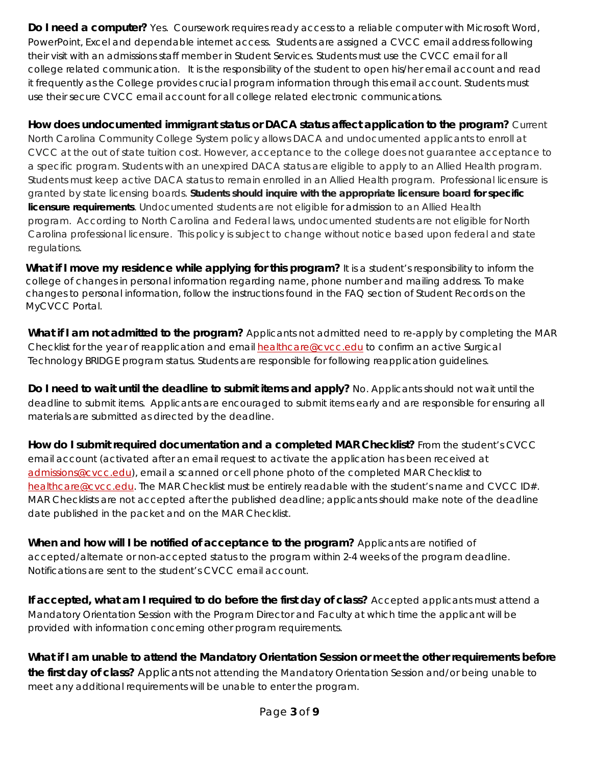**Do I need a computer?** Yes. Coursework requires ready access to a reliable computer with Microsoft Word, PowerPoint, Excel and dependable internet access. Students are assigned a CVCC email address following their visit with an admissions staff member in Student Services. Students must use the CVCC email for all college related communication. It is the responsibility of the student to open his/her email account and read it frequently as the College provides crucial program information through this email account. Students must use their secure CVCC email account for all college related electronic communications.

**How does undocumented immigrant status or DACA status affect application to the program?** Current North Carolina Community College System policy allows DACA and undocumented applicants to enroll at CVCC at the out of state tuition cost. However, acceptance to the college does not guarantee acceptance to a *specific* program. Students with an *unexpired DACA status* are eligible to apply to an Allied Health program. Students must keep active DACA status to remain enrolled in an Allied Health program. Professional licensure is granted by state licensing boards. **Students should inquire with the appropriate licensure board for specific licensure requirements**. Undocumented students are not eligible for admission to an Allied Health program. According to North Carolina and Federal laws, undocumented students are not eligible for North Carolina professional licensure. This policy is subject to change without notice based upon federal and state regulations*.*

**What if I move my residence while applying for this program?** It is a student's responsibility to inform the college of changes in personal information regarding name, phone number and mailing address. To make changes to personal information, follow the instructions found in the FAQ section of Student Records on the MyCVCC Portal.

**What if I am not admitted to the program?** Applicants not admitted need to re-apply by completing the MAR Checklist for the year of reapplication and email [healthcare@cvcc.edu](mailto:healthcare@cvcc.edu) to confirm an active Surgical Technology BRIDGE program status. Students are responsible for following reapplication guidelines.

**Do I need to wait until the deadline to submit items and apply?** No. Applicants should not wait until the deadline to submit items. Applicants are encouraged to submit items early and are responsible for ensuring all materials are submitted as directed by the deadline.

**How do I submit required documentation and a completed MAR Checklist?** From the student's CVCC email account (activated *after* an email request to activate the application has been received at [admissions@cvcc.edu\)](mailto:admissions@cvcc.edu), email a scanned or cell phone photo of the completed MAR Checklist to [healthcare@cvcc.edu.](mailto:healthcare@cvcc.edu) The MAR Checklist must be entirely readable with the student's name and CVCC ID#. MAR Checklists are not accepted after the published deadline; applicants should make note of the deadline date published in the packet and on the MAR Checklist.

**When and how will I be notified of acceptance to the program?** Applicants are notified of accepted/alternate or non-accepted status to the program within 2-4 weeks of the program deadline. Notifications are sent to the student's CVCC email account.

**If accepted, what am I required to do before the first day of class?** Accepted applicants must attend a Mandatory Orientation Session with the Program Director and Faculty at which time the applicant will be provided with information concerning other program requirements.

**What if I am unable to attend the Mandatory Orientation Session or meet the other requirements before the first day of class?** Applicants not attending the Mandatory Orientation Session and/or being unable to meet any additional requirements will be unable to enter the program.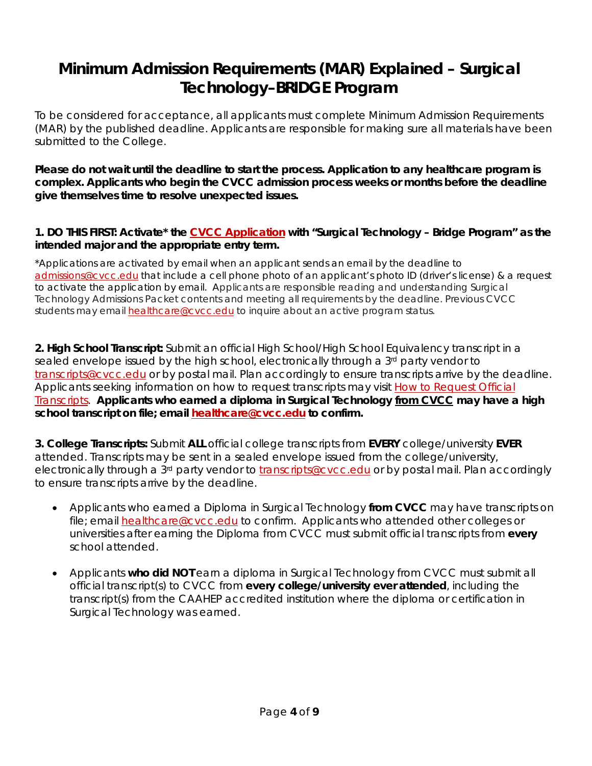## **Minimum Admission Requirements (MAR) Explained – Surgical Technology–BRIDGE Program**

To be considered for acceptance, all applicants must complete Minimum Admission Requirements (MAR) by the published deadline. Applicants are responsible for making sure all materials have been submitted to the College.

**Please do not wait until the deadline to start the process. Application to any healthcare program is complex. Applicants who begin the CVCC admission process weeks or months before the deadline give themselves time to resolve unexpected issues.** 

#### **1. DO THIS FIRST: Activate\* the [CVCC Application](http://www.cvcc.edu/Admissions/Apply-Now.cfm) with "Surgical Technology – Bridge Program" as the intended major and the appropriate entry term.**

\*Applications are activated by email when an applicant sends an email by the deadline to [admissions@cvcc.edu](mailto:admissions@cvcc.edu) that include a cell phone photo of an applicant's photo ID (driver's license) & a request to activate the application by email. Applicants are responsible reading and understanding Surgical Technology Admissions Packet contents and meeting all requirements by the deadline. Previous CVCC students may email [healthcare@cvcc.edu](mailto:healthcare@cvcc.edu) to inquire about an active program status.

**2. High School Transcript:** Submit an *official* High School/High School Equivalency transcript in a sealed envelope issued by the high school, electronically through a 3<sup>rd</sup> party vendor to [transcripts@cvcc.edu](mailto:transcripts@cvcc.edu) or by postal mail. Plan accordingly to ensure transcripts arrive by the deadline. Applicants seeking information on how to request transcripts may visit [How to Request Official](http://www.cvcc.edu/Admissions/How_to_Request_Official_Transcripts_for_CVCC.cfm)  [Transcripts.](http://www.cvcc.edu/Admissions/How_to_Request_Official_Transcripts_for_CVCC.cfm) **Applicants who earned a diploma in Surgical Technology from CVCC may have a high school transcript on file; email [healthcare@cvcc.edu](mailto:healthcare@cvcc.edu) to confirm.**

**3. College Transcripts:** Submit **ALL** *official* college transcripts from **EVERY** college/university **EVER**  attended. Transcripts may be sent in a sealed envelope issued from the college/university, electronically through a 3<sup>rd</sup> party vendor to [transcripts@cvcc.edu](mailto:transcripts@cvcc.edu) or by postal mail. Plan accordingly to ensure transcripts arrive by the deadline.

- Applicants who earned a Diploma in Surgical Technology *from CVCC* may have transcripts on file; email **[healthcare@cvcc.edu](mailto:healthcare@cvcc.edu)** to confirm. Applicants who attended other colleges or universities *after* earning the Diploma from CVCC must submit official transcripts from **every** school attended.
- Applicants **who did NOT** earn a diploma in Surgical Technology from CVCC must submit all official transcript(s) to CVCC from **every college/university ever attended**, including the transcript(s) from the CAAHEP accredited institution where the diploma or certification in Surgical Technology was earned.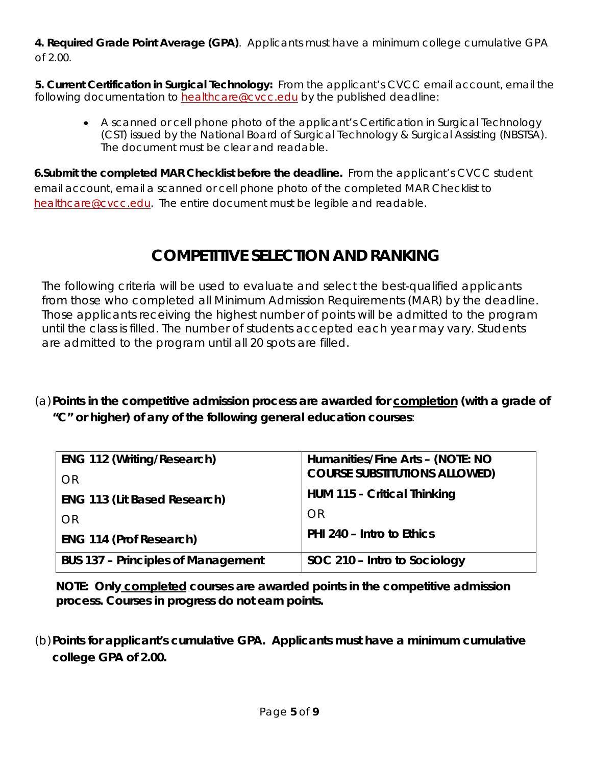**4. Required Grade Point Average (GPA)**. Applicants must have a minimum college cumulative GPA of 2.00.

**5. Current Certification in Surgical Technology:** From the applicant's CVCC email account, email the following documentation to [healthcare@cvcc.edu](mailto:healthcare@cvcc.edu) by the published deadline:

• A scanned or cell phone photo of the applicant's *Certification in Surgical Technology* (CST) issued by the National Board of Surgical Technology & Surgical Assisting (NBSTSA). The document must be clear and readable.

**6.Submit the completed MAR Checklist before the deadline.** From the applicant's CVCC student email account, email a scanned or cell phone photo of the completed MAR Checklist to [healthcare@cvcc.edu.](mailto:healthcare@cvcc.edu) The entire document must be legible and readable.

## **COMPETITIVE SELECTION AND RANKING**

The following criteria will be used to evaluate and select the best-qualified applicants from those who completed all Minimum Admission Requirements (MAR) by the deadline. Those applicants receiving the highest number of points will be admitted to the program until the class is filled. The number of students accepted each year may vary. Students are admitted to the program until all 20 spots are filled.

(a)**Points in the competitive admission process are awarded for completion (with a grade of "C" or higher) of any of the following general education courses**:

| <b>ENG 112 (Writing/Research)</b>         | Humanities/Fine Arts - (NOTE: NO<br><b>COURSE SUBSTITUTIONS ALLOWED)</b> |  |
|-------------------------------------------|--------------------------------------------------------------------------|--|
| <b>OR</b>                                 | HUM 115 - Critical Thinking                                              |  |
| <b>ENG 113 (Lit Based Research)</b><br>OR | OR                                                                       |  |
| <b>ENG 114 (Prof Research)</b>            | PHI 240 - Intro to Ethics                                                |  |
| <b>BUS 137 - Principles of Management</b> | SOC 210 - Intro to Sociology                                             |  |

**NOTE: Only completed courses are awarded points in the competitive admission process. Courses in progress do not earn points.**

(b)**Points for applicant's cumulative GPA. Applicants must have a minimum cumulative college GPA of 2.00.**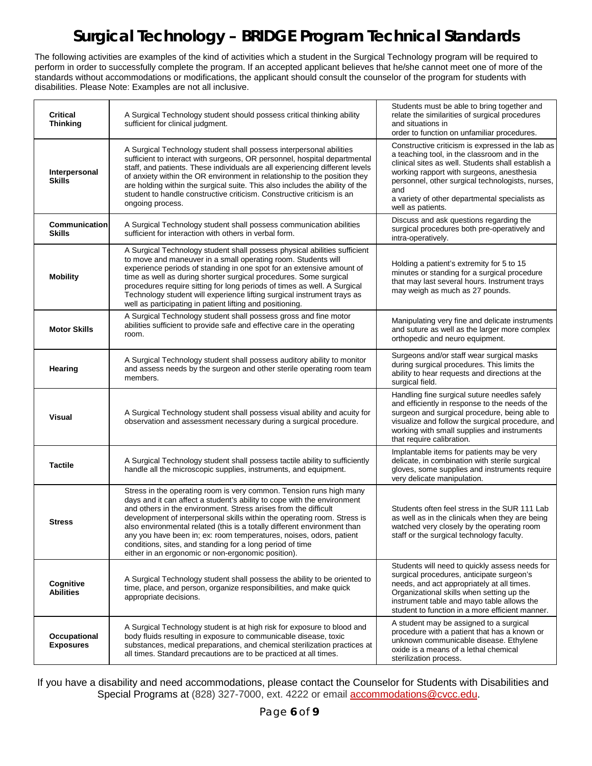## **Surgical Technology – BRIDGE Program Technical Standards**

The following activities are examples of the kind of activities which a student in the Surgical Technology program will be required to perform in order to successfully complete the program. If an accepted applicant believes that he/she cannot meet one of more of the standards without accommodations or modifications, the applicant should consult the counselor of the program for students with disabilities. Please Note: Examples are not all inclusive.

 $\blacksquare$ 

 $\mathbf{r}$ 

 $\mathbf{r}$ 

| <b>Critical</b><br><b>Thinking</b> | A Surgical Technology student should possess critical thinking ability<br>sufficient for clinical judgment.                                                                                                                                                                                                                                                                                                                                                                                                                                                         | Students must be able to bring together and<br>relate the similarities of surgical procedures<br>and situations in<br>order to function on unfamiliar procedures.                                                                                                                                                                      |
|------------------------------------|---------------------------------------------------------------------------------------------------------------------------------------------------------------------------------------------------------------------------------------------------------------------------------------------------------------------------------------------------------------------------------------------------------------------------------------------------------------------------------------------------------------------------------------------------------------------|----------------------------------------------------------------------------------------------------------------------------------------------------------------------------------------------------------------------------------------------------------------------------------------------------------------------------------------|
| Interpersonal<br><b>Skills</b>     | A Surgical Technology student shall possess interpersonal abilities<br>sufficient to interact with surgeons, OR personnel, hospital departmental<br>staff, and patients. These individuals are all experiencing different levels<br>of anxiety within the OR environment in relationship to the position they<br>are holding within the surgical suite. This also includes the ability of the<br>student to handle constructive criticism. Constructive criticism is an<br>ongoing process.                                                                         | Constructive criticism is expressed in the lab as<br>a teaching tool, in the classroom and in the<br>clinical sites as well. Students shall establish a<br>working rapport with surgeons, anesthesia<br>personnel, other surgical technologists, nurses,<br>and<br>a variety of other departmental specialists as<br>well as patients. |
| Communication<br><b>Skills</b>     | A Surgical Technology student shall possess communication abilities<br>sufficient for interaction with others in verbal form.                                                                                                                                                                                                                                                                                                                                                                                                                                       | Discuss and ask questions regarding the<br>surgical procedures both pre-operatively and<br>intra-operatively.                                                                                                                                                                                                                          |
| <b>Mobility</b>                    | A Surgical Technology student shall possess physical abilities sufficient<br>to move and maneuver in a small operating room. Students will<br>experience periods of standing in one spot for an extensive amount of<br>time as well as during shorter surgical procedures. Some surgical<br>procedures require sitting for long periods of times as well. A Surgical<br>Technology student will experience lifting surgical instrument trays as<br>well as participating in patient lifting and positioning.                                                        | Holding a patient's extremity for 5 to 15<br>minutes or standing for a surgical procedure<br>that may last several hours. Instrument trays<br>may weigh as much as 27 pounds.                                                                                                                                                          |
| <b>Motor Skills</b>                | A Surgical Technology student shall possess gross and fine motor<br>abilities sufficient to provide safe and effective care in the operating<br>room.                                                                                                                                                                                                                                                                                                                                                                                                               | Manipulating very fine and delicate instruments<br>and suture as well as the larger more complex<br>orthopedic and neuro equipment.                                                                                                                                                                                                    |
| Hearing                            | A Surgical Technology student shall possess auditory ability to monitor<br>and assess needs by the surgeon and other sterile operating room team<br>members.                                                                                                                                                                                                                                                                                                                                                                                                        | Surgeons and/or staff wear surgical masks<br>during surgical procedures. This limits the<br>ability to hear requests and directions at the<br>surgical field.                                                                                                                                                                          |
| <b>Visual</b>                      | A Surgical Technology student shall possess visual ability and acuity for<br>observation and assessment necessary during a surgical procedure.                                                                                                                                                                                                                                                                                                                                                                                                                      | Handling fine surgical suture needles safely<br>and efficiently in response to the needs of the<br>surgeon and surgical procedure, being able to<br>visualize and follow the surgical procedure, and<br>working with small supplies and instruments<br>that require calibration.                                                       |
| <b>Tactile</b>                     | A Surgical Technology student shall possess tactile ability to sufficiently<br>handle all the microscopic supplies, instruments, and equipment.                                                                                                                                                                                                                                                                                                                                                                                                                     | Implantable items for patients may be very<br>delicate, in combination with sterile surgical<br>gloves, some supplies and instruments require<br>very delicate manipulation.                                                                                                                                                           |
| <b>Stress</b>                      | Stress in the operating room is very common. Tension runs high many<br>days and it can affect a student's ability to cope with the environment<br>and others in the environment. Stress arises from the difficult<br>development of interpersonal skills within the operating room. Stress is<br>also environmental related (this is a totally different environment than<br>any you have been in; ex: room temperatures, noises, odors, patient<br>conditions, sites, and standing for a long period of time<br>either in an ergonomic or non-ergonomic position). | Students often feel stress in the SUR 111 Lab<br>as well as in the clinicals when they are being<br>watched very closely by the operating room<br>staff or the surgical technology faculty.                                                                                                                                            |
| Cognitive<br><b>Abilities</b>      | A Surgical Technology student shall possess the ability to be oriented to<br>time, place, and person, organize responsibilities, and make quick<br>appropriate decisions.                                                                                                                                                                                                                                                                                                                                                                                           | Students will need to quickly assess needs for<br>surgical procedures, anticipate surgeon's<br>needs, and act appropriately at all times.<br>Organizational skills when setting up the<br>instrument table and mayo table allows the<br>student to function in a more efficient manner.                                                |
| Occupational<br><b>Exposures</b>   | A Surgical Technology student is at high risk for exposure to blood and<br>body fluids resulting in exposure to communicable disease, toxic<br>substances, medical preparations, and chemical sterilization practices at<br>all times. Standard precautions are to be practiced at all times.                                                                                                                                                                                                                                                                       | A student may be assigned to a surgical<br>procedure with a patient that has a known or<br>unknown communicable disease. Ethylene<br>oxide is a means of a lethal chemical<br>sterilization process.                                                                                                                                   |

If you have a disability and need accommodations, please contact the Counselor for Students with Disabilities and Special Programs at (828) 327-7000, ext. 4222 or email **accommodations@cvcc.edu**.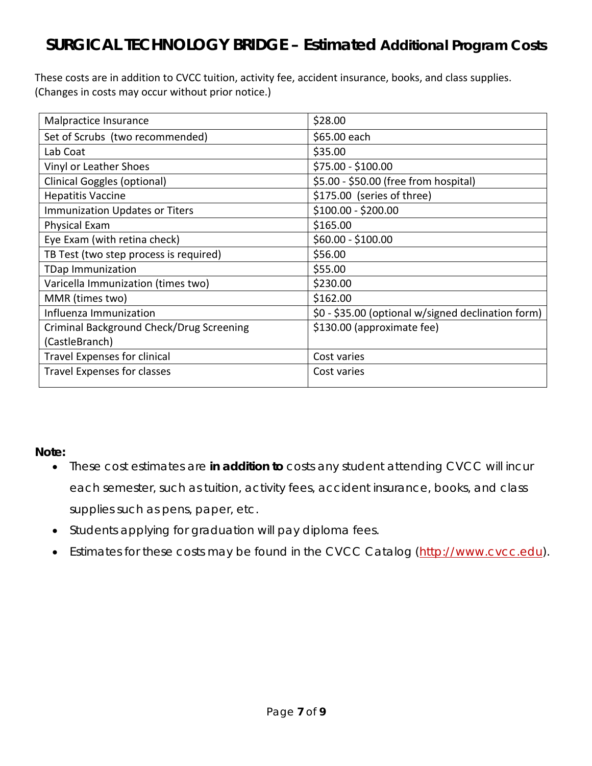## **SURGICAL TECHNOLOGY BRIDGE – Estimated Additional Program Costs**

These costs are in addition to CVCC tuition, activity fee, accident insurance, books, and class supplies. (Changes in costs may occur without prior notice.)

| Malpractice Insurance                    | \$28.00                                            |
|------------------------------------------|----------------------------------------------------|
| Set of Scrubs (two recommended)          | \$65.00 each                                       |
| Lab Coat                                 | \$35.00                                            |
| Vinyl or Leather Shoes                   | \$75.00 - \$100.00                                 |
| <b>Clinical Goggles (optional)</b>       | \$5.00 - \$50.00 (free from hospital)              |
| <b>Hepatitis Vaccine</b>                 | \$175.00 (series of three)                         |
| Immunization Updates or Titers           | \$100.00 - \$200.00                                |
| Physical Exam                            | \$165.00                                           |
| Eye Exam (with retina check)             | \$60.00 - \$100.00                                 |
| TB Test (two step process is required)   | \$56.00                                            |
| <b>TDap Immunization</b>                 | \$55.00                                            |
| Varicella Immunization (times two)       | \$230.00                                           |
| MMR (times two)                          | \$162.00                                           |
| Influenza Immunization                   | \$0 - \$35.00 (optional w/signed declination form) |
| Criminal Background Check/Drug Screening | \$130.00 (approximate fee)                         |
| (CastleBranch)                           |                                                    |
| <b>Travel Expenses for clinical</b>      | Cost varies                                        |
| <b>Travel Expenses for classes</b>       | Cost varies                                        |
|                                          |                                                    |

**Note:**

- These cost estimates are **in addition to** costs any student attending CVCC will incur each semester, such as tuition, activity fees, accident insurance, books, and class supplies such as pens, paper, etc.
- Students applying for graduation will pay diploma fees.
- Estimates for these costs may be found in the CVCC Catalog [\(http://www.cvcc.edu\)](http://www.cvcc.edu/).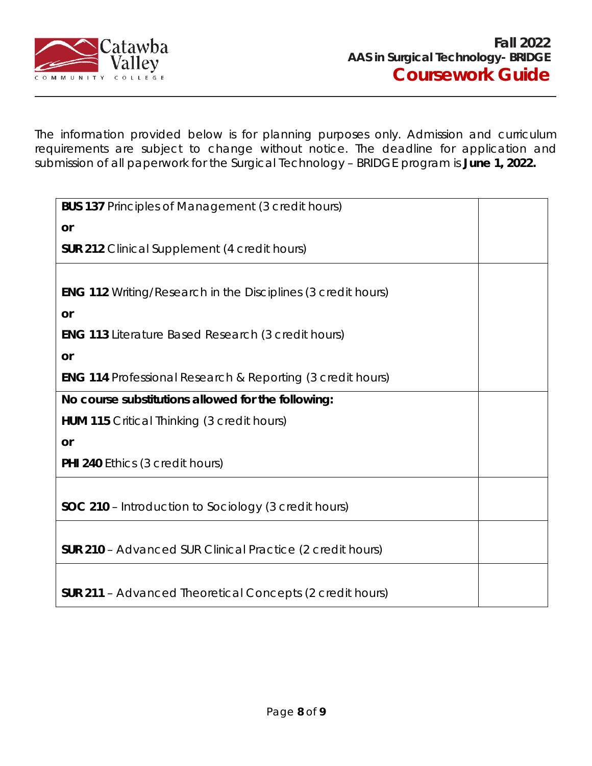

The information provided below is for planning purposes only. Admission and curriculum requirements are subject to change without notice. The deadline for application and submission of all paperwork for the Surgical Technology – BRIDGE program is **June 1, 2022.**

| <b>BUS 137 Principles of Management (3 credit hours)</b>              |  |  |
|-----------------------------------------------------------------------|--|--|
| or                                                                    |  |  |
| <b>SUR 212</b> Clinical Supplement (4 credit hours)                   |  |  |
|                                                                       |  |  |
| <b>ENG 112</b> Writing/Research in the Disciplines (3 credit hours)   |  |  |
| or                                                                    |  |  |
| <b>ENG 113 Literature Based Research (3 credit hours)</b>             |  |  |
| <b>or</b>                                                             |  |  |
| <b>ENG 114 Professional Research &amp; Reporting (3 credit hours)</b> |  |  |
| No course substitutions allowed for the following:                    |  |  |
| <b>HUM 115</b> Critical Thinking (3 credit hours)                     |  |  |
| or                                                                    |  |  |
| <b>PHI 240 Ethics (3 credit hours)</b>                                |  |  |
|                                                                       |  |  |
| <b>SOC 210</b> – Introduction to Sociology (3 credit hours)           |  |  |
|                                                                       |  |  |
| <b>SUR 210</b> - Advanced SUR Clinical Practice (2 credit hours)      |  |  |
|                                                                       |  |  |
| <b>SUR 211</b> - Advanced Theoretical Concepts (2 credit hours)       |  |  |